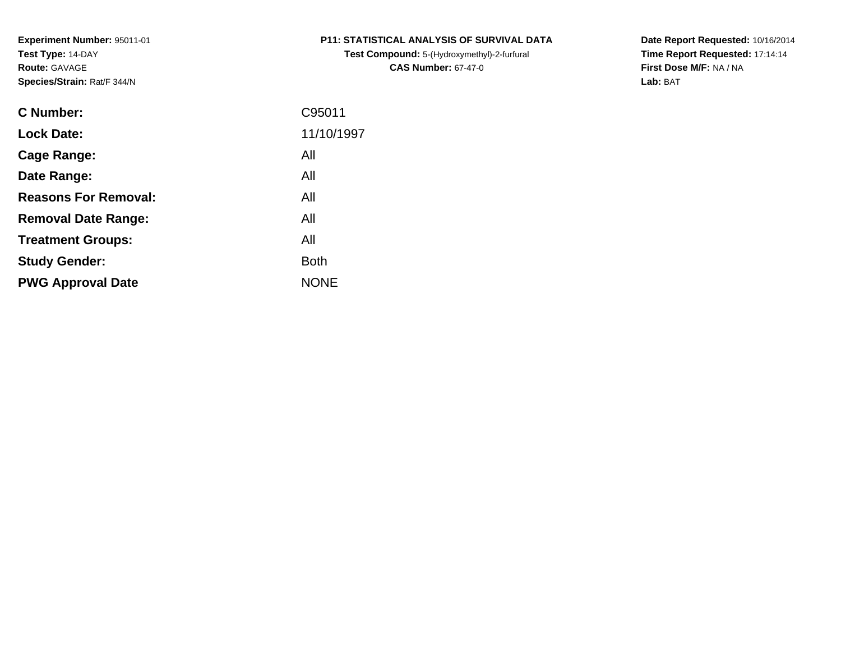**Test Compound:** 5-(Hydroxymethyl)-2-furfural **CAS Number:** 67-47-0

**Date Report Requested:** 10/16/2014 **Time Report Requested:** 17:14:14**First Dose M/F:** NA / NA**Lab:** BAT

| <b>C</b> Number:            | C95011      |
|-----------------------------|-------------|
| <b>Lock Date:</b>           | 11/10/1997  |
| Cage Range:                 | All         |
| Date Range:                 | All         |
| <b>Reasons For Removal:</b> | All         |
| <b>Removal Date Range:</b>  | All         |
| <b>Treatment Groups:</b>    | All         |
| <b>Study Gender:</b>        | <b>Both</b> |
| <b>PWG Approval Date</b>    | <b>NONE</b> |
|                             |             |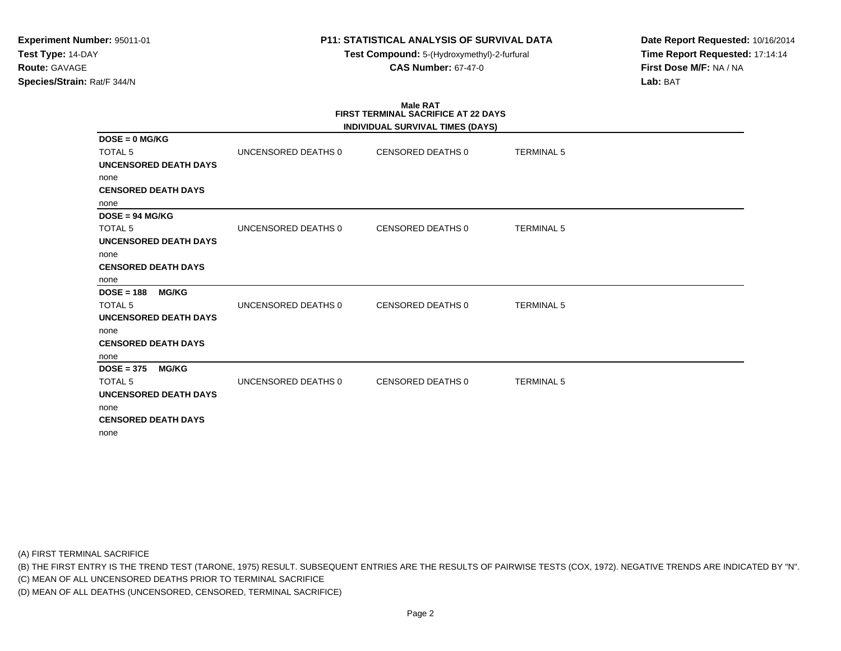**Test Compound:** 5-(Hydroxymethyl)-2-furfural **CAS Number:** 67-47-0

**Date Report Requested:** 10/16/2014**Time Report Requested:** 17:14:14**First Dose M/F:** NA / NA**Lab:** BAT

# **Male RATFIRST TERMINAL SACRIFICE AT 22 DAYS**

|                              |                     | INDIVIDUAL SURVIVAL TIMES (DAYS) |                   |  |
|------------------------------|---------------------|----------------------------------|-------------------|--|
| $DOSE = 0$ MG/KG             |                     |                                  |                   |  |
| <b>TOTAL 5</b>               | UNCENSORED DEATHS 0 | CENSORED DEATHS 0                | <b>TERMINAL 5</b> |  |
| <b>UNCENSORED DEATH DAYS</b> |                     |                                  |                   |  |
| none                         |                     |                                  |                   |  |
| <b>CENSORED DEATH DAYS</b>   |                     |                                  |                   |  |
| none                         |                     |                                  |                   |  |
| $DOSE = 94 MG/KG$            |                     |                                  |                   |  |
| <b>TOTAL 5</b>               | UNCENSORED DEATHS 0 | CENSORED DEATHS 0                | <b>TERMINAL 5</b> |  |
| <b>UNCENSORED DEATH DAYS</b> |                     |                                  |                   |  |
| none                         |                     |                                  |                   |  |
| <b>CENSORED DEATH DAYS</b>   |                     |                                  |                   |  |
| none                         |                     |                                  |                   |  |
| $DOSE = 188$<br><b>MG/KG</b> |                     |                                  |                   |  |
| <b>TOTAL 5</b>               | UNCENSORED DEATHS 0 | <b>CENSORED DEATHS 0</b>         | <b>TERMINAL 5</b> |  |
| <b>UNCENSORED DEATH DAYS</b> |                     |                                  |                   |  |
| none                         |                     |                                  |                   |  |
| <b>CENSORED DEATH DAYS</b>   |                     |                                  |                   |  |
| none                         |                     |                                  |                   |  |
| $DOSE = 375$<br><b>MG/KG</b> |                     |                                  |                   |  |
| <b>TOTAL 5</b>               | UNCENSORED DEATHS 0 | <b>CENSORED DEATHS 0</b>         | <b>TERMINAL 5</b> |  |
| <b>UNCENSORED DEATH DAYS</b> |                     |                                  |                   |  |
| none                         |                     |                                  |                   |  |
| <b>CENSORED DEATH DAYS</b>   |                     |                                  |                   |  |
| none                         |                     |                                  |                   |  |

(A) FIRST TERMINAL SACRIFICE

(B) THE FIRST ENTRY IS THE TREND TEST (TARONE, 1975) RESULT. SUBSEQUENT ENTRIES ARE THE RESULTS OF PAIRWISE TESTS (COX, 1972). NEGATIVE TRENDS ARE INDICATED BY "N".

(C) MEAN OF ALL UNCENSORED DEATHS PRIOR TO TERMINAL SACRIFICE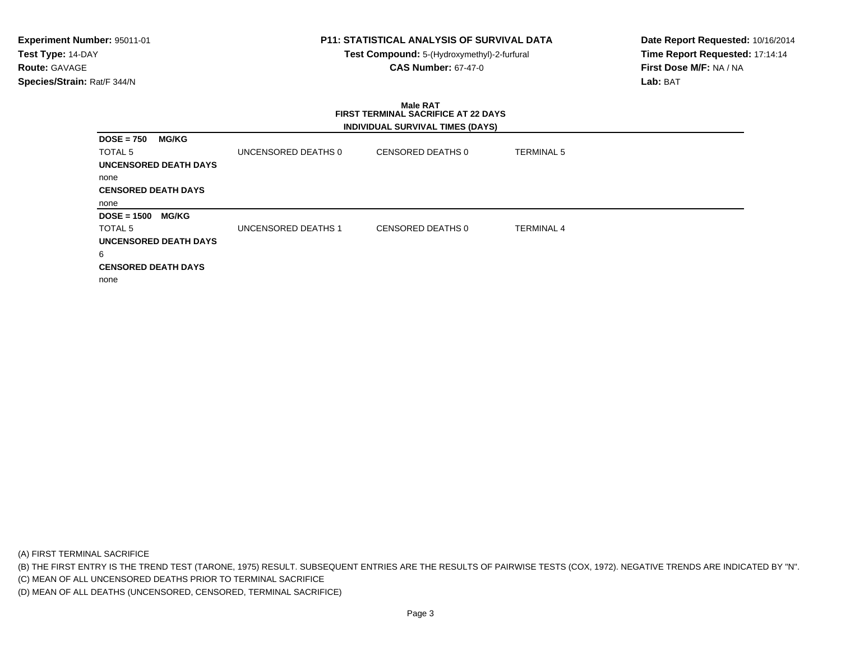**Test Compound:** 5-(Hydroxymethyl)-2-furfural **CAS Number:** 67-47-0

**Date Report Requested:** 10/16/2014**Time Report Requested:** 17:14:14**First Dose M/F:** NA / NA**Lab:** BAT

#### **Male RAT FIRST TERMINAL SACRIFICE AT 22 DAYSINDIVIDUAL SURVIVAL TIMES (DAYS)**

| $DOSE = 750$<br><b>MG/KG</b>  |                     |                   |                   |
|-------------------------------|---------------------|-------------------|-------------------|
| <b>TOTAL 5</b>                | UNCENSORED DEATHS 0 | CENSORED DEATHS 0 | <b>TERMINAL 5</b> |
| <b>UNCENSORED DEATH DAYS</b>  |                     |                   |                   |
| none                          |                     |                   |                   |
| <b>CENSORED DEATH DAYS</b>    |                     |                   |                   |
| none                          |                     |                   |                   |
| $DOSE = 1500$<br><b>MG/KG</b> |                     |                   |                   |
| TOTAL 5                       | UNCENSORED DEATHS 1 | CENSORED DEATHS 0 | <b>TERMINAL 4</b> |
| <b>UNCENSORED DEATH DAYS</b>  |                     |                   |                   |
| 6                             |                     |                   |                   |
| <b>CENSORED DEATH DAYS</b>    |                     |                   |                   |
| none                          |                     |                   |                   |
|                               |                     |                   |                   |

(A) FIRST TERMINAL SACRIFICE

(B) THE FIRST ENTRY IS THE TREND TEST (TARONE, 1975) RESULT. SUBSEQUENT ENTRIES ARE THE RESULTS OF PAIRWISE TESTS (COX, 1972). NEGATIVE TRENDS ARE INDICATED BY "N".

(C) MEAN OF ALL UNCENSORED DEATHS PRIOR TO TERMINAL SACRIFICE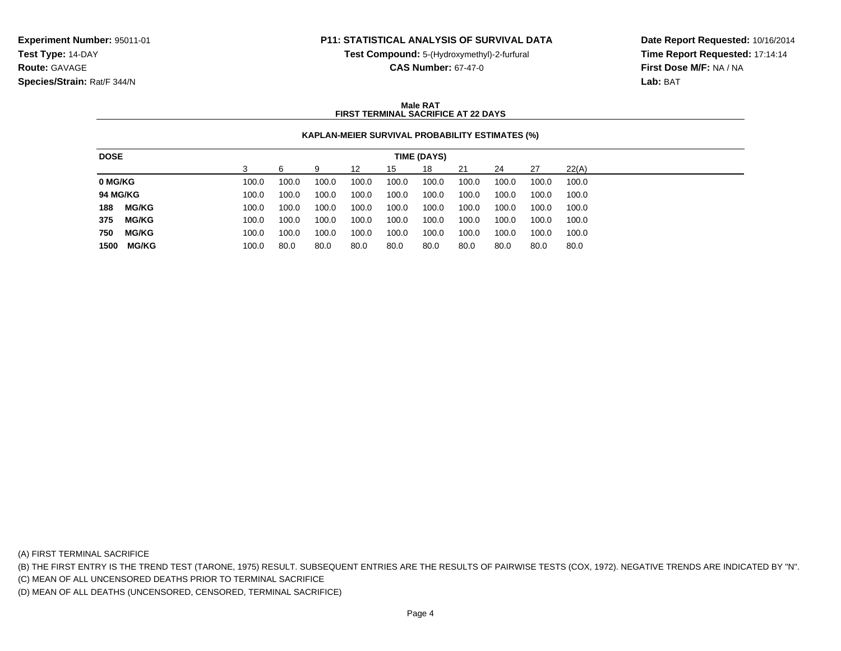**Test Compound:** 5-(Hydroxymethyl)-2-furfural

**CAS Number:** 67-47-0

**Date Report Requested:** 10/16/2014**Time Report Requested:** 17:14:14**First Dose M/F:** NA / NA**Lab:** BAT

### **Male RATFIRST TERMINAL SACRIFICE AT 22 DAYS**

## **KAPLAN-MEIER SURVIVAL PROBABILITY ESTIMATES (%)**

| <b>DOSE</b><br>TIME (DAYS)                                                                                    |
|---------------------------------------------------------------------------------------------------------------|
| 22(A)<br>21<br>27<br>18<br>24<br>9<br>12<br>15                                                                |
| 0 MG/KG<br>100.0<br>100.0<br>100.0<br>100.0<br>100.0<br>100.0<br>100.0<br>100.0<br>100.0<br>100.0             |
| <b>94 MG/KG</b><br>100.0<br>100.0<br>100.0<br>100.0<br>100.0<br>100.0<br>100.0<br>100.0<br>100.0<br>100.0     |
| <b>MG/KG</b><br>188<br>100.0<br>100.0<br>100.0<br>100.0<br>100.0<br>100.0<br>100.0<br>100.0<br>100.0<br>100.0 |
| <b>MG/KG</b><br>375<br>100.0<br>100.0<br>100.0<br>100.0<br>100.0<br>100.0<br>100.0<br>100.0<br>100.0<br>100.0 |
| 750<br><b>MG/KG</b><br>100.0<br>100.0<br>100.0<br>100.0<br>100.0<br>100.0<br>100.0<br>100.0<br>100.0<br>100.0 |
| <b>MG/KG</b><br>1500<br>80.0<br>80.0<br>80.0<br>80.0<br>80.0<br>100.0<br>80.0<br>80.0<br>80.0<br>80.0         |

(A) FIRST TERMINAL SACRIFICE

(B) THE FIRST ENTRY IS THE TREND TEST (TARONE, 1975) RESULT. SUBSEQUENT ENTRIES ARE THE RESULTS OF PAIRWISE TESTS (COX, 1972). NEGATIVE TRENDS ARE INDICATED BY "N".

(C) MEAN OF ALL UNCENSORED DEATHS PRIOR TO TERMINAL SACRIFICE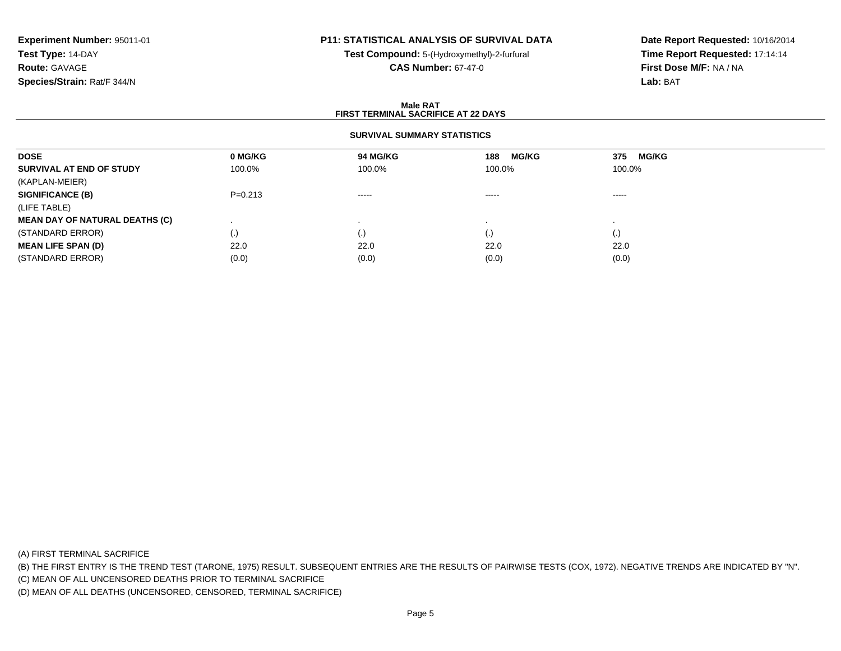# **P11: STATISTICAL ANALYSIS OF SURVIVAL DATA**

**Test Compound:** 5-(Hydroxymethyl)-2-furfural **CAS Number:** 67-47-0

**Date Report Requested:** 10/16/2014**Time Report Requested:** 17:14:14**First Dose M/F:** NA / NA**Lab:** BAT

### **Male RATFIRST TERMINAL SACRIFICE AT 22 DAYS**

### **SURVIVAL SUMMARY STATISTICS**

| <b>DOSE</b>                           | 0 MG/KG   | 94 MG/KG  | <b>MG/KG</b><br>188 | 375<br><b>MG/KG</b> |
|---------------------------------------|-----------|-----------|---------------------|---------------------|
| SURVIVAL AT END OF STUDY              | 100.0%    | 100.0%    | 100.0%              | 100.0%              |
| (KAPLAN-MEIER)                        |           |           |                     |                     |
| <b>SIGNIFICANCE (B)</b>               | $P=0.213$ | -----     | -----               | -----               |
| (LIFE TABLE)                          |           |           |                     |                     |
| <b>MEAN DAY OF NATURAL DEATHS (C)</b> |           |           |                     |                     |
| (STANDARD ERROR)                      | $\cdot$   | $\cdot$ , | (.)                 | $\left( . \right)$  |
| <b>MEAN LIFE SPAN (D)</b>             | 22.0      | 22.0      | 22.0                | 22.0                |
| (STANDARD ERROR)                      | (0.0)     | (0.0)     | (0.0)               | (0.0)               |

(A) FIRST TERMINAL SACRIFICE

(B) THE FIRST ENTRY IS THE TREND TEST (TARONE, 1975) RESULT. SUBSEQUENT ENTRIES ARE THE RESULTS OF PAIRWISE TESTS (COX, 1972). NEGATIVE TRENDS ARE INDICATED BY "N".

(C) MEAN OF ALL UNCENSORED DEATHS PRIOR TO TERMINAL SACRIFICE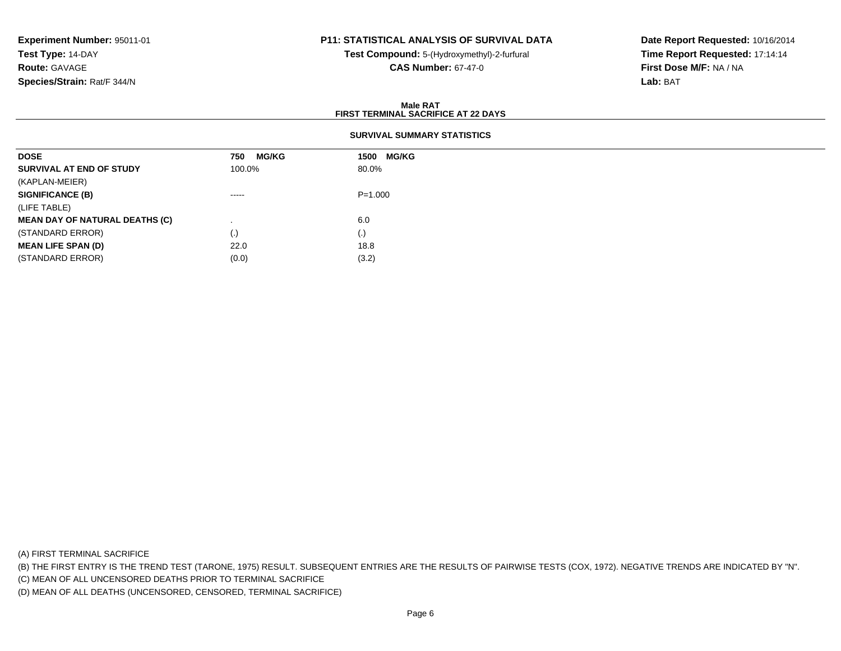# **P11: STATISTICAL ANALYSIS OF SURVIVAL DATA**

**Test Compound:** 5-(Hydroxymethyl)-2-furfural **CAS Number:** 67-47-0

**Date Report Requested:** 10/16/2014**Time Report Requested:** 17:14:14**First Dose M/F:** NA / NA**Lab:** BAT

### **Male RATFIRST TERMINAL SACRIFICE AT 22 DAYS**

## **SURVIVAL SUMMARY STATISTICS**

| <b>DOSE</b>                           | <b>MG/KG</b><br>750 | 1500 MG/KG  |
|---------------------------------------|---------------------|-------------|
| SURVIVAL AT END OF STUDY              | 100.0%              | 80.0%       |
| (KAPLAN-MEIER)                        |                     |             |
| <b>SIGNIFICANCE (B)</b>               | $\cdots$            | $P = 1.000$ |
| (LIFE TABLE)                          |                     |             |
| <b>MEAN DAY OF NATURAL DEATHS (C)</b> |                     | 6.0         |
| (STANDARD ERROR)                      | $\left( . \right)$  | (.)         |
| <b>MEAN LIFE SPAN (D)</b>             | 22.0                | 18.8        |
| (STANDARD ERROR)                      | (0.0)               | (3.2)       |

(A) FIRST TERMINAL SACRIFICE

(B) THE FIRST ENTRY IS THE TREND TEST (TARONE, 1975) RESULT. SUBSEQUENT ENTRIES ARE THE RESULTS OF PAIRWISE TESTS (COX, 1972). NEGATIVE TRENDS ARE INDICATED BY "N".

(C) MEAN OF ALL UNCENSORED DEATHS PRIOR TO TERMINAL SACRIFICE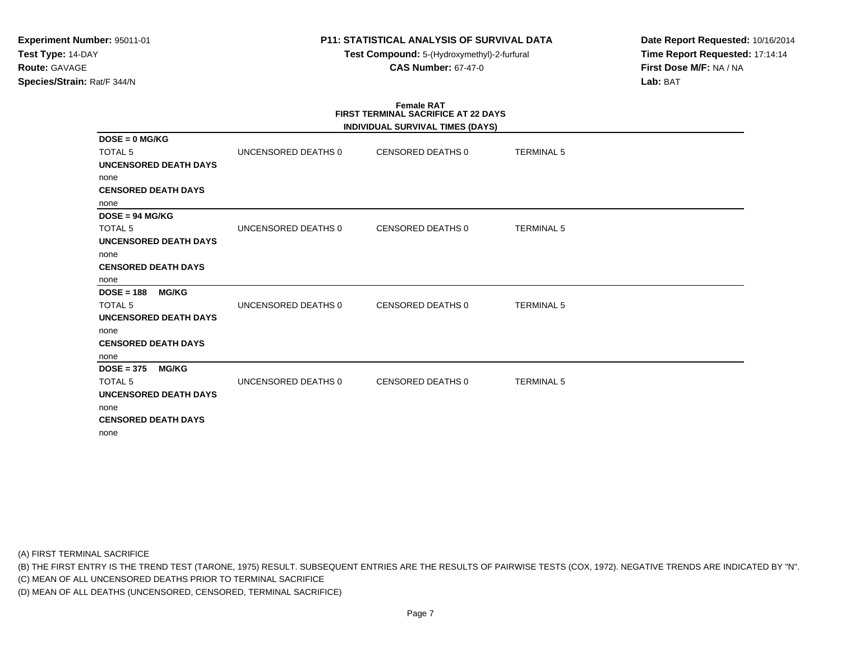**Test Compound:** 5-(Hydroxymethyl)-2-furfural **CAS Number:** 67-47-0

**Date Report Requested:** 10/16/2014**Time Report Requested:** 17:14:14**First Dose M/F:** NA / NA**Lab:** BAT

# **Female RATFIRST TERMINAL SACRIFICE AT 22 DAYS**

|                              |                     | INDIVIDUAL SURVIVAL TIMES (DAYS) |                   |  |
|------------------------------|---------------------|----------------------------------|-------------------|--|
| $DOSE = 0$ MG/KG             |                     |                                  |                   |  |
| <b>TOTAL 5</b>               | UNCENSORED DEATHS 0 | CENSORED DEATHS 0                | <b>TERMINAL 5</b> |  |
| <b>UNCENSORED DEATH DAYS</b> |                     |                                  |                   |  |
| none                         |                     |                                  |                   |  |
| <b>CENSORED DEATH DAYS</b>   |                     |                                  |                   |  |
| none                         |                     |                                  |                   |  |
| $DOSE = 94 MGIKG$            |                     |                                  |                   |  |
| <b>TOTAL 5</b>               | UNCENSORED DEATHS 0 | <b>CENSORED DEATHS 0</b>         | <b>TERMINAL 5</b> |  |
| <b>UNCENSORED DEATH DAYS</b> |                     |                                  |                   |  |
| none                         |                     |                                  |                   |  |
| <b>CENSORED DEATH DAYS</b>   |                     |                                  |                   |  |
| none                         |                     |                                  |                   |  |
| $DOSE = 188$<br><b>MG/KG</b> |                     |                                  |                   |  |
| <b>TOTAL 5</b>               | UNCENSORED DEATHS 0 | <b>CENSORED DEATHS 0</b>         | <b>TERMINAL 5</b> |  |
| <b>UNCENSORED DEATH DAYS</b> |                     |                                  |                   |  |
| none                         |                     |                                  |                   |  |
| <b>CENSORED DEATH DAYS</b>   |                     |                                  |                   |  |
| none                         |                     |                                  |                   |  |
| $DOSE = 375$<br><b>MG/KG</b> |                     |                                  |                   |  |
| <b>TOTAL 5</b>               | UNCENSORED DEATHS 0 | CENSORED DEATHS 0                | <b>TERMINAL 5</b> |  |
| <b>UNCENSORED DEATH DAYS</b> |                     |                                  |                   |  |
| none                         |                     |                                  |                   |  |
| <b>CENSORED DEATH DAYS</b>   |                     |                                  |                   |  |
| none                         |                     |                                  |                   |  |
|                              |                     |                                  |                   |  |

(A) FIRST TERMINAL SACRIFICE

(B) THE FIRST ENTRY IS THE TREND TEST (TARONE, 1975) RESULT. SUBSEQUENT ENTRIES ARE THE RESULTS OF PAIRWISE TESTS (COX, 1972). NEGATIVE TRENDS ARE INDICATED BY "N".

(C) MEAN OF ALL UNCENSORED DEATHS PRIOR TO TERMINAL SACRIFICE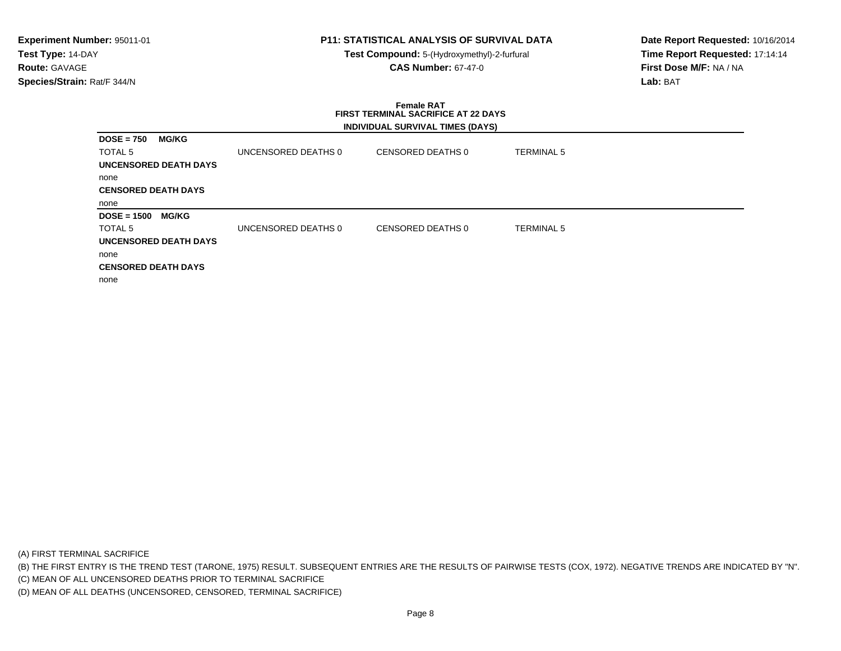**Test Compound:** 5-(Hydroxymethyl)-2-furfural **CAS Number:** 67-47-0

**Date Report Requested:** 10/16/2014**Time Report Requested:** 17:14:14**First Dose M/F:** NA / NA**Lab:** BAT

### **Female RAT FIRST TERMINAL SACRIFICE AT 22 DAYSINDIVIDUAL SURVIVAL TIMES (DAYS)**

| <b>DOSE = 750</b>          | <b>MG/KG</b>                 |                     |                   |                   |
|----------------------------|------------------------------|---------------------|-------------------|-------------------|
| TOTAL 5                    |                              | UNCENSORED DEATHS 0 | CENSORED DEATHS 0 | <b>TERMINAL 5</b> |
|                            | <b>UNCENSORED DEATH DAYS</b> |                     |                   |                   |
| none                       |                              |                     |                   |                   |
| <b>CENSORED DEATH DAYS</b> |                              |                     |                   |                   |
| none                       |                              |                     |                   |                   |
| <b>DOSE = 1500</b>         | <b>MG/KG</b>                 |                     |                   |                   |
| TOTAL 5                    |                              | UNCENSORED DEATHS 0 | CENSORED DEATHS 0 | <b>TERMINAL 5</b> |
|                            | <b>UNCENSORED DEATH DAYS</b> |                     |                   |                   |
| none                       |                              |                     |                   |                   |
| <b>CENSORED DEATH DAYS</b> |                              |                     |                   |                   |
| none                       |                              |                     |                   |                   |

(A) FIRST TERMINAL SACRIFICE

(B) THE FIRST ENTRY IS THE TREND TEST (TARONE, 1975) RESULT. SUBSEQUENT ENTRIES ARE THE RESULTS OF PAIRWISE TESTS (COX, 1972). NEGATIVE TRENDS ARE INDICATED BY "N".

(C) MEAN OF ALL UNCENSORED DEATHS PRIOR TO TERMINAL SACRIFICE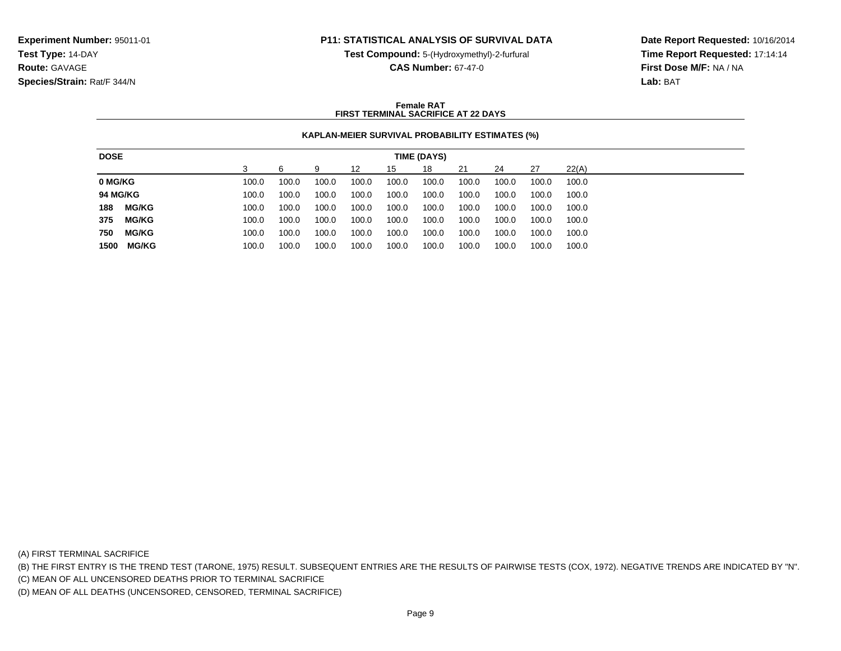**Test Compound:** 5-(Hydroxymethyl)-2-furfural

**CAS Number:** 67-47-0

**Date Report Requested:** 10/16/2014**Time Report Requested:** 17:14:14**First Dose M/F:** NA / NA**Lab:** BAT

### **Female RATFIRST TERMINAL SACRIFICE AT 22 DAYS**

## **KAPLAN-MEIER SURVIVAL PROBABILITY ESTIMATES (%)**

| <b>DOSE</b><br>TIME (DAYS)                                                                                     |
|----------------------------------------------------------------------------------------------------------------|
| 18<br>22(A)<br>21<br>27<br>6<br>24<br>12<br>15<br>g                                                            |
| 0 MG/KG<br>100.0<br>100.0<br>100.0<br>100.0<br>100.0<br>100.0<br>100.0<br>100.0<br>100.0<br>100.0              |
| <b>94 MG/KG</b><br>100.0<br>100.0<br>100.0<br>100.0<br>100.0<br>100.0<br>100.0<br>100.0<br>100.0<br>100.0      |
| 188<br><b>MG/KG</b><br>100.0<br>100.0<br>100.0<br>100.0<br>100.0<br>100.0<br>100.0<br>100.0<br>100.0<br>100.0  |
| 375<br><b>MG/KG</b><br>100.0<br>100.0<br>100.0<br>100.0<br>100.0<br>100.0<br>100.0<br>100.0<br>100.0<br>100.0  |
| <b>MG/KG</b><br>750<br>100.0<br>100.0<br>100.0<br>100.0<br>100.0<br>100.0<br>100.0<br>100.0<br>100.0<br>100.0  |
| <b>MG/KG</b><br>1500<br>100.0<br>100.0<br>100.0<br>100.0<br>100.0<br>100.0<br>100.0<br>100.0<br>100.0<br>100.0 |

(A) FIRST TERMINAL SACRIFICE

(B) THE FIRST ENTRY IS THE TREND TEST (TARONE, 1975) RESULT. SUBSEQUENT ENTRIES ARE THE RESULTS OF PAIRWISE TESTS (COX, 1972). NEGATIVE TRENDS ARE INDICATED BY "N".

(C) MEAN OF ALL UNCENSORED DEATHS PRIOR TO TERMINAL SACRIFICE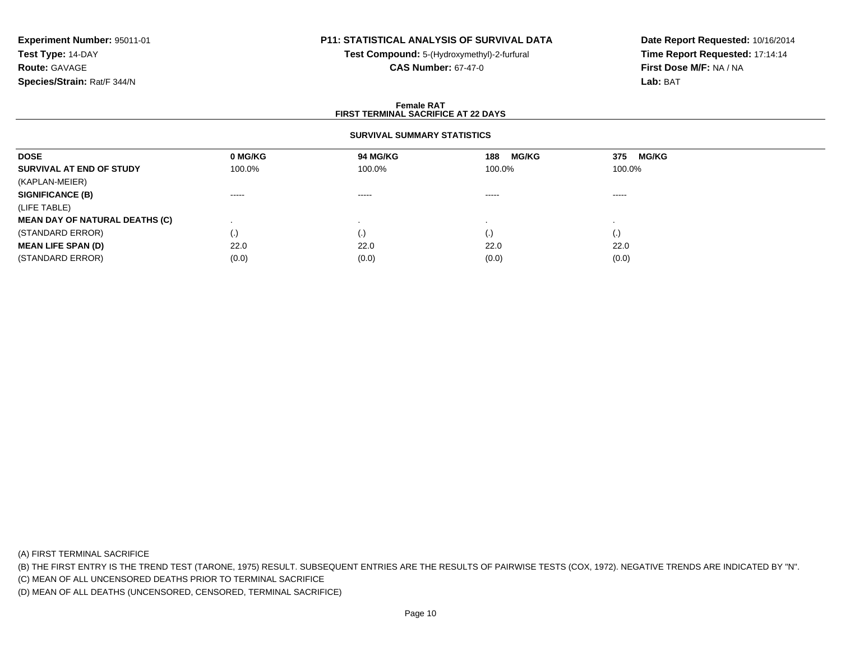# **P11: STATISTICAL ANALYSIS OF SURVIVAL DATA**

**Test Compound:** 5-(Hydroxymethyl)-2-furfural **CAS Number:** 67-47-0

**Date Report Requested:** 10/16/2014**Time Report Requested:** 17:14:14**First Dose M/F:** NA / NA**Lab:** BAT

### **Female RATFIRST TERMINAL SACRIFICE AT 22 DAYS**

## **SURVIVAL SUMMARY STATISTICS**

| <b>DOSE</b>                           | 0 MG/KG                | 94 MG/KG  | <b>MG/KG</b><br>188 | 375<br><b>MG/KG</b> |
|---------------------------------------|------------------------|-----------|---------------------|---------------------|
| SURVIVAL AT END OF STUDY              | 100.0%                 | 100.0%    | 100.0%              | 100.0%              |
| (KAPLAN-MEIER)                        |                        |           |                     |                     |
| <b>SIGNIFICANCE (B)</b>               | $\cdots \cdots \cdots$ | $\cdots$  | -----               | -----               |
| (LIFE TABLE)                          |                        |           |                     |                     |
| <b>MEAN DAY OF NATURAL DEATHS (C)</b> |                        |           |                     |                     |
| (STANDARD ERROR)                      | $\cdot$                | $\cdot$ , | (.)                 | $\left( . \right)$  |
| <b>MEAN LIFE SPAN (D)</b>             | 22.0                   | 22.0      | 22.0                | 22.0                |
| (STANDARD ERROR)                      | (0.0)                  | (0.0)     | (0.0)               | (0.0)               |

(A) FIRST TERMINAL SACRIFICE

(B) THE FIRST ENTRY IS THE TREND TEST (TARONE, 1975) RESULT. SUBSEQUENT ENTRIES ARE THE RESULTS OF PAIRWISE TESTS (COX, 1972). NEGATIVE TRENDS ARE INDICATED BY "N".

(C) MEAN OF ALL UNCENSORED DEATHS PRIOR TO TERMINAL SACRIFICE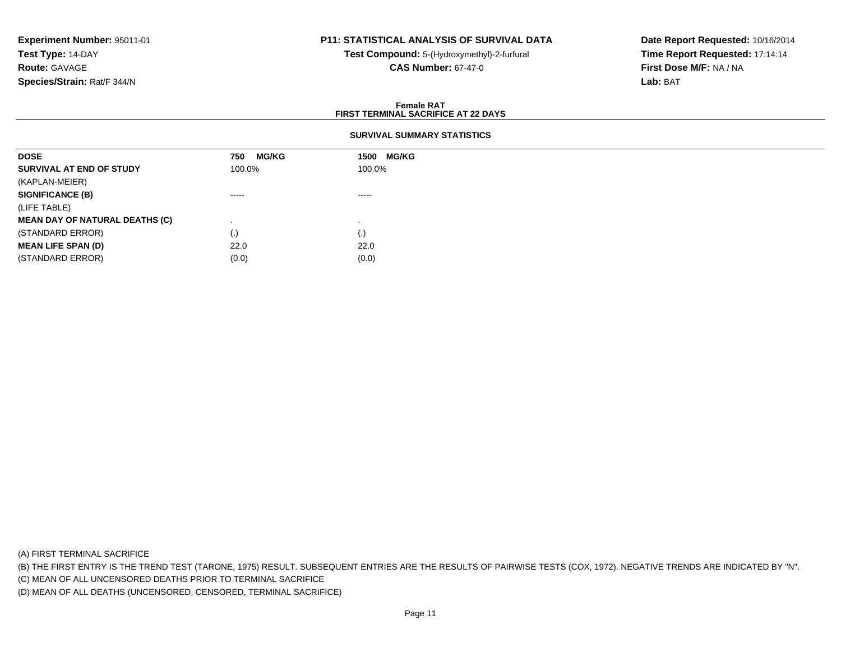# **P11: STATISTICAL ANALYSIS OF SURVIVAL DATA**

**Test Compound:** 5-(Hydroxymethyl)-2-furfural **CAS Number:** 67-47-0

**Date Report Requested:** 10/16/2014**Time Report Requested:** 17:14:14**First Dose M/F:** NA / NA**Lab:** BAT

### **Female RATFIRST TERMINAL SACRIFICE AT 22 DAYS**

## **SURVIVAL SUMMARY STATISTICS**

| <b>DOSE</b>                           | <b>MG/KG</b><br>750                                                                                                                                                                                                                                                                                                                                                                                                                                                                    | <b>MG/KG</b><br>1500                                                                                                                                                                                                                                                                                                                                                                                                                                                                   |
|---------------------------------------|----------------------------------------------------------------------------------------------------------------------------------------------------------------------------------------------------------------------------------------------------------------------------------------------------------------------------------------------------------------------------------------------------------------------------------------------------------------------------------------|----------------------------------------------------------------------------------------------------------------------------------------------------------------------------------------------------------------------------------------------------------------------------------------------------------------------------------------------------------------------------------------------------------------------------------------------------------------------------------------|
| SURVIVAL AT END OF STUDY              | 100.0%                                                                                                                                                                                                                                                                                                                                                                                                                                                                                 | 100.0%                                                                                                                                                                                                                                                                                                                                                                                                                                                                                 |
| (KAPLAN-MEIER)                        |                                                                                                                                                                                                                                                                                                                                                                                                                                                                                        |                                                                                                                                                                                                                                                                                                                                                                                                                                                                                        |
| <b>SIGNIFICANCE (B)</b>               | $\begin{array}{cccccccccccccc} \multicolumn{2}{c}{} & \multicolumn{2}{c}{} & \multicolumn{2}{c}{} & \multicolumn{2}{c}{} & \multicolumn{2}{c}{} & \multicolumn{2}{c}{} & \multicolumn{2}{c}{} & \multicolumn{2}{c}{} & \multicolumn{2}{c}{} & \multicolumn{2}{c}{} & \multicolumn{2}{c}{} & \multicolumn{2}{c}{} & \multicolumn{2}{c}{} & \multicolumn{2}{c}{} & \multicolumn{2}{c}{} & \multicolumn{2}{c}{} & \multicolumn{2}{c}{} & \multicolumn{2}{c}{} & \multicolumn{2}{c}{} & \$ | $\begin{array}{cccccccccccccc} \multicolumn{2}{c}{} & \multicolumn{2}{c}{} & \multicolumn{2}{c}{} & \multicolumn{2}{c}{} & \multicolumn{2}{c}{} & \multicolumn{2}{c}{} & \multicolumn{2}{c}{} & \multicolumn{2}{c}{} & \multicolumn{2}{c}{} & \multicolumn{2}{c}{} & \multicolumn{2}{c}{} & \multicolumn{2}{c}{} & \multicolumn{2}{c}{} & \multicolumn{2}{c}{} & \multicolumn{2}{c}{} & \multicolumn{2}{c}{} & \multicolumn{2}{c}{} & \multicolumn{2}{c}{} & \multicolumn{2}{c}{} & \$ |
| (LIFE TABLE)                          |                                                                                                                                                                                                                                                                                                                                                                                                                                                                                        |                                                                                                                                                                                                                                                                                                                                                                                                                                                                                        |
| <b>MEAN DAY OF NATURAL DEATHS (C)</b> |                                                                                                                                                                                                                                                                                                                                                                                                                                                                                        |                                                                                                                                                                                                                                                                                                                                                                                                                                                                                        |
| (STANDARD ERROR)                      | (.)                                                                                                                                                                                                                                                                                                                                                                                                                                                                                    | $\left( . \right)$                                                                                                                                                                                                                                                                                                                                                                                                                                                                     |
| <b>MEAN LIFE SPAN (D)</b>             | 22.0                                                                                                                                                                                                                                                                                                                                                                                                                                                                                   | 22.0                                                                                                                                                                                                                                                                                                                                                                                                                                                                                   |
| (STANDARD ERROR)                      | (0.0)                                                                                                                                                                                                                                                                                                                                                                                                                                                                                  | (0.0)                                                                                                                                                                                                                                                                                                                                                                                                                                                                                  |

(A) FIRST TERMINAL SACRIFICE

(B) THE FIRST ENTRY IS THE TREND TEST (TARONE, 1975) RESULT. SUBSEQUENT ENTRIES ARE THE RESULTS OF PAIRWISE TESTS (COX, 1972). NEGATIVE TRENDS ARE INDICATED BY "N".

(C) MEAN OF ALL UNCENSORED DEATHS PRIOR TO TERMINAL SACRIFICE